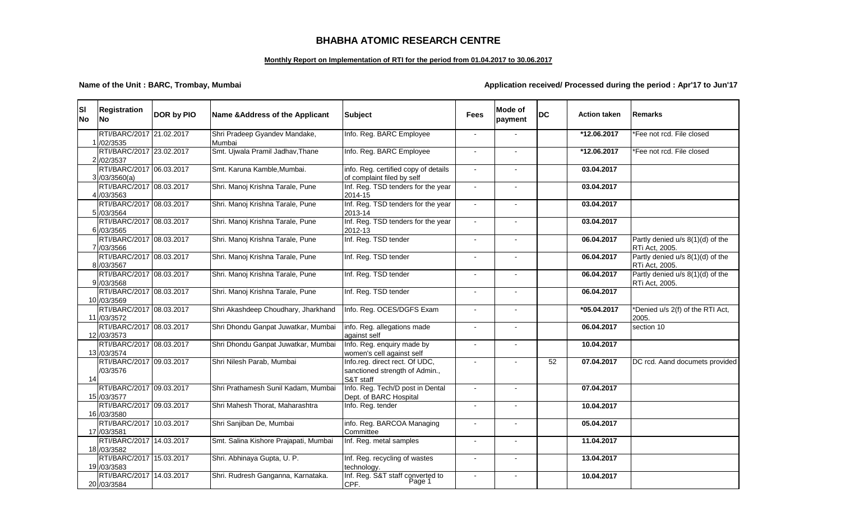## **BHABHA ATOMIC RESEARCH CENTRE**

### **Monthly Report on Implementation of RTI for the period from 01.04.2017 to 30.06.2017**

### **Name of the Unit : BARC, Trombay, Mumbai Application received/ Processed during the period : Apr'17 to Jun'17**

| lsı<br><b>INo</b> | <b>Registration</b><br>lNo.              | DOR by PIO | Name & Address of the Applicant         | <b>Subject</b>                                                                | <b>Fees</b>              | Mode of<br>payment | <b>DC</b> | <b>Action taken</b> | <b>Remarks</b>                                     |
|-------------------|------------------------------------------|------------|-----------------------------------------|-------------------------------------------------------------------------------|--------------------------|--------------------|-----------|---------------------|----------------------------------------------------|
|                   | RTI/BARC/2017 21.02.2017<br>/02/3535     |            | Shri Pradeep Gyandev Mandake,<br>Mumbai | Info. Reg. BARC Employee                                                      |                          |                    |           | *12.06.2017         | *Fee not rcd. File closed                          |
|                   | RTI/BARC/2017 23.02.2017<br>2 /02/3537   |            | Smt. Ujwala Pramil Jadhav, Thane        | Info. Reg. BARC Employee                                                      |                          |                    |           | *12.06.2017         | *Fee not rcd. File closed                          |
|                   | RTI/BARC/2017 06.03.2017<br>3/03/3560(a) |            | Smt. Karuna Kamble, Mumbai.             | info. Reg. certified copy of details<br>of complaint filed by self            | $\overline{a}$           |                    |           | 03.04.2017          |                                                    |
|                   | RTI/BARC/2017 08.03.2017<br>4 /03/3563   |            | Shri. Manoj Krishna Tarale, Pune        | Inf. Reg. TSD tenders for the year<br>2014-15                                 |                          |                    |           | 03.04.2017          |                                                    |
|                   | RTI/BARC/2017 08.03.2017<br>5 /03/3564   |            | Shri. Manoj Krishna Tarale, Pune        | Inf. Reg. TSD tenders for the year<br>2013-14                                 |                          |                    |           | 03.04.2017          |                                                    |
|                   | RTI/BARC/2017 08.03.2017<br>6 /03/3565   |            | Shri. Manoj Krishna Tarale, Pune        | Inf. Reg. TSD tenders for the year<br>2012-13                                 | $\sim$                   | $\blacksquare$     |           | 03.04.2017          |                                                    |
|                   | RTI/BARC/2017 08.03.2017<br>7 /03/3566   |            | Shri. Manoj Krishna Tarale, Pune        | Inf. Reg. TSD tender                                                          |                          |                    |           | 06.04.2017          | Partly denied u/s 8(1)(d) of the<br>RTi Act, 2005. |
|                   | RTI/BARC/2017 08.03.2017<br>8 /03/3567   |            | Shri. Manoj Krishna Tarale, Pune        | Inf. Reg. TSD tender                                                          | $\blacksquare$           | $\blacksquare$     |           | 06.04.2017          | Partly denied u/s 8(1)(d) of the<br>RTi Act, 2005. |
|                   | RTI/BARC/2017 08.03.2017<br>9 /03/3568   |            | Shri. Manoj Krishna Tarale, Pune        | Inf. Reg. TSD tender                                                          | $\blacksquare$           | $\blacksquare$     |           | 06.04.2017          | Partly denied u/s 8(1)(d) of the<br>RTi Act, 2005. |
|                   | RTI/BARC/2017 08.03.2017<br>10 /03/3569  |            | Shri. Manoj Krishna Tarale, Pune        | Inf. Reg. TSD tender                                                          | $\sim$                   |                    |           | 06.04.2017          |                                                    |
|                   | RTI/BARC/2017 08.03.2017<br>11 /03/3572  |            | Shri Akashdeep Choudhary, Jharkhand     | Info. Reg. OCES/DGFS Exam                                                     |                          |                    |           | $*05.04.2017$       | *Denied u/s 2(f) of the RTI Act,<br>2005.          |
|                   | RTI/BARC/2017 08.03.2017<br>12 /03/3573  |            | Shri Dhondu Ganpat Juwatkar, Mumbai     | info. Reg. allegations made<br>against self                                   |                          |                    |           | 06.04.2017          | section 10                                         |
|                   | RTI/BARC/2017 08.03.2017<br>13 /03/3574  |            | Shri Dhondu Ganpat Juwatkar, Mumbai     | Info. Reg. enquiry made by<br>women's cell against self                       | $\blacksquare$           |                    |           | 10.04.2017          |                                                    |
| 14                | RTI/BARC/2017 09.03.2017<br>/03/3576     |            | Shri Nilesh Parab, Mumbai               | Info.reg. direct rect. Of UDC,<br>sanctioned strength of Admin.,<br>S&T staff |                          |                    | 52        | 07.04.2017          | DC rcd. Aand documets provided                     |
|                   | RTI/BARC/2017 09.03.2017<br>15 /03/3577  |            | Shri Prathamesh Sunil Kadam, Mumbai     | Info. Reg. Tech/D post in Dental<br>Dept. of BARC Hospital                    | $\sim$                   | $\blacksquare$     |           | 07.04.2017          |                                                    |
|                   | RTI/BARC/2017 09.03.2017<br>16 /03/3580  |            | Shri Mahesh Thorat, Maharashtra         | Info. Reg. tender                                                             |                          |                    |           | 10.04.2017          |                                                    |
|                   | RTI/BARC/2017 10.03.2017<br>17 /03/3581  |            | Shri Sanjiban De, Mumbai                | info. Reg. BARCOA Managing<br>Committee                                       |                          |                    |           | 05.04.2017          |                                                    |
|                   | RTI/BARC/2017 14.03.2017<br>18 /03/3582  |            | Smt. Salina Kishore Prajapati, Mumbai   | Inf. Reg. metal samples                                                       | $\blacksquare$           | $\blacksquare$     |           | 11.04.2017          |                                                    |
|                   | RTI/BARC/2017 15.03.2017<br>19 /03/3583  |            | Shri. Abhinaya Gupta, U. P.             | Inf. Reg. recycling of wastes<br>technology.                                  | $\overline{\phantom{a}}$ | $\blacksquare$     |           | 13.04.2017          |                                                    |
|                   | RTI/BARC/2017 14.03.2017<br>20 /03/3584  |            | Shri. Rudresh Ganganna, Karnataka.      | Inf. Reg. S&T staff converted to<br>CPF.                                      |                          |                    |           | 10.04.2017          |                                                    |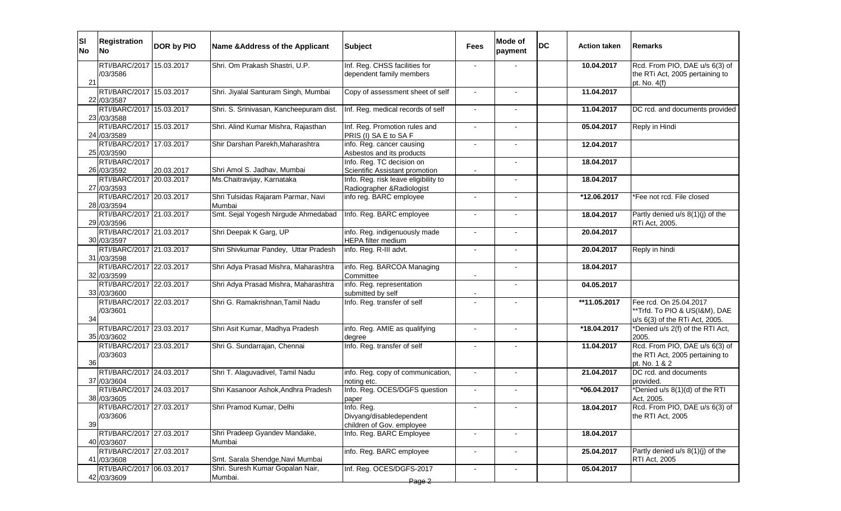| SI<br><b>No</b> | <b>Registration</b><br><b>No</b>        | DOR by PIO | Name & Address of the Applicant              | <b>Subject</b>                                                      | Fees           | Mode of<br>payment       | DC | <b>Action taken</b> | <b>IRemarks</b>                                                                           |
|-----------------|-----------------------------------------|------------|----------------------------------------------|---------------------------------------------------------------------|----------------|--------------------------|----|---------------------|-------------------------------------------------------------------------------------------|
| 21              | RTI/BARC/2017 15.03.2017<br>/03/3586    |            | Shri. Om Prakash Shastri, U.P.               | Inf. Reg. CHSS facilities for<br>dependent family members           |                |                          |    | 10.04.2017          | Rcd. From PIO, DAE u/s 6(3) of<br>the RTi Act, 2005 pertaining to<br>pt. No. 4(f)         |
|                 | RTI/BARC/2017 15.03.2017<br>22 /03/3587 |            | Shri. Jiyalal Santuram Singh, Mumbai         | Copy of assessment sheet of self                                    | $\sim$         |                          |    | 11.04.2017          |                                                                                           |
|                 | RTI/BARC/2017 15.03.2017<br>23 /03/3588 |            | Shri. S. Srinivasan, Kancheepuram dist.      | Inf. Reg. medical records of self                                   | $\blacksquare$ |                          |    | 11.04.2017          | DC rcd. and documents provided                                                            |
|                 | RTI/BARC/2017 15.03.2017<br>24 /03/3589 |            | Shri. Alind Kumar Mishra, Rajasthan          | Inf. Reg. Promotion rules and<br>PRIS (I) SA E to SA F              |                |                          |    | 05.04.2017          | Reply in Hindi                                                                            |
|                 | RTI/BARC/2017 17.03.2017<br>25 /03/3590 |            | Shir Darshan Parekh, Maharashtra             | info. Reg. cancer causing<br>Asbestos and its products              |                |                          |    | 12.04.2017          |                                                                                           |
|                 | RTI/BARC/2017<br>26 /03/3592            | 20.03.2017 | Shri Amol S. Jadhav, Mumbai                  | Info. Reg. TC decision on<br>Scientific Assistant promotion         |                |                          |    | 18.04.2017          |                                                                                           |
|                 | RTI/BARC/2017 20.03.2017<br>27 /03/3593 |            | Ms.Chaitravijay, Karnataka                   | Info. Reg. risk leave eligibility to<br>Radiographer & Radiologist  |                | $\overline{\phantom{a}}$ |    | 18.04.2017          |                                                                                           |
|                 | RTI/BARC/2017 20.03.2017<br>28 /03/3594 |            | Shri Tulsidas Rajaram Parmar, Navi<br>Mumbai | info reg. BARC employee                                             |                |                          |    | *12.06.2017         | *Fee not rcd. File closed                                                                 |
|                 | RTI/BARC/2017 21.03.2017<br>29 /03/3596 |            | Smt. Sejal Yogesh Nirgude Ahmedabad          | Info. Reg. BARC employee                                            |                |                          |    | 18.04.2017          | Partly denied u/s 8(1)(j) of the<br>RTi Act, 2005.                                        |
|                 | RTI/BARC/2017 21.03.2017<br>30 /03/3597 |            | Shri Deepak K Garg, UP                       | info. Reg. indigenuously made<br>HEPA filter medium                 |                |                          |    | 20.04.2017          |                                                                                           |
|                 | RTI/BARC/2017 21.03.2017<br>31 /03/3598 |            | Shri Shivkumar Pandey, Uttar Pradesh         | info. Reg. R-III advt.                                              | $\sim$         | $\blacksquare$           |    | 20.04.2017          | Reply in hindi                                                                            |
|                 | RTI/BARC/2017 22.03.2017<br>32 /03/3599 |            | Shri Adya Prasad Mishra, Maharashtra         | info. Reg. BARCOA Managing<br>Committee                             |                | $\overline{\phantom{m}}$ |    | 18.04.2017          |                                                                                           |
|                 | RTI/BARC/2017 22.03.2017<br>33 /03/3600 |            | Shri Adya Prasad Mishra, Maharashtra         | info. Reg. representation<br>submitted by self                      |                |                          |    | 04.05.2017          |                                                                                           |
| 34              | RTI/BARC/2017 22.03.2017<br>/03/3601    |            | Shri G. Ramakrishnan, Tamil Nadu             | Info. Reg. transfer of self                                         |                |                          |    | **11.05.2017        | Fee rcd. On 25.04.2017<br>**Trfd. To PIO & US(I&M), DAE<br>u/s 6(3) of the RTi Act, 2005. |
|                 | RTI/BARC/2017 23.03.2017<br>35 /03/3602 |            | Shri Asit Kumar, Madhya Pradesh              | info. Reg. AMIE as qualifying<br>degree                             |                | $\overline{\phantom{a}}$ |    | *18.04.2017         | *Denied u/s 2(f) of the RTI Act,<br>2005.                                                 |
| 36              | RTI/BARC/2017 23.03.2017<br>/03/3603    |            | Shri G. Sundarrajan, Chennai                 | Info. Reg. transfer of self                                         |                |                          |    | 11.04.2017          | Rcd. From PIO, DAE u/s 6(3) of<br>the RTI Act, 2005 pertaining to<br>pt. No. 1 & 2        |
|                 | RTI/BARC/2017 24.03.2017<br>37 /03/3604 |            | Shri T. Alaguvadivel, Tamil Nadu             | info. Reg. copy of communication,<br>noting etc.                    | $\sim$         | $\overline{\phantom{m}}$ |    | 21.04.2017          | DC rcd. and documents<br>provided.                                                        |
|                 | RTI/BARC/2017 24.03.2017<br>38 /03/3605 |            | Shri Kasanoor Ashok, Andhra Pradesh          | Info. Reg. OCES/DGFS question<br>paper                              |                | $\blacksquare$           |    | *06.04.2017         | *Denied u/s 8(1)(d) of the RTI<br>Act, 2005.                                              |
| 39              | RTI/BARC/2017 27.03.2017<br>/03/3606    |            | Shri Pramod Kumar, Delhi                     | Info. Reg.<br>Divyang/disabledependent<br>children of Gov. employee | $\sim$         |                          |    | 18.04.2017          | $Rcd.$ From PIO, DAE u/s $6(3)$ of<br>the RTI Act, 2005                                   |
|                 | RTI/BARC/2017 27.03.2017<br>40 /03/3607 |            | Shri Pradeep Gyandev Mandake,<br>Mumbai      | Info. Reg. BARC Employee                                            |                | ÷,                       |    | 18.04.2017          |                                                                                           |
|                 | RTI/BARC/2017 27.03.2017<br>41 /03/3608 |            | Smt. Sarala Shendge, Navi Mumbai             | info. Reg. BARC employee                                            |                |                          |    | 25.04.2017          | Partly denied $u/s$ 8(1)(j) of the<br>RTI Act, 2005                                       |
|                 | RTI/BARC/2017 06.03.2017<br>42 /03/3609 |            | Shri. Suresh Kumar Gopalan Nair,<br>Mumbai.  | Inf. Reg. OCES/DGFS-2017<br>Page 2                                  |                | $\overline{\phantom{a}}$ |    | 05.04.2017          |                                                                                           |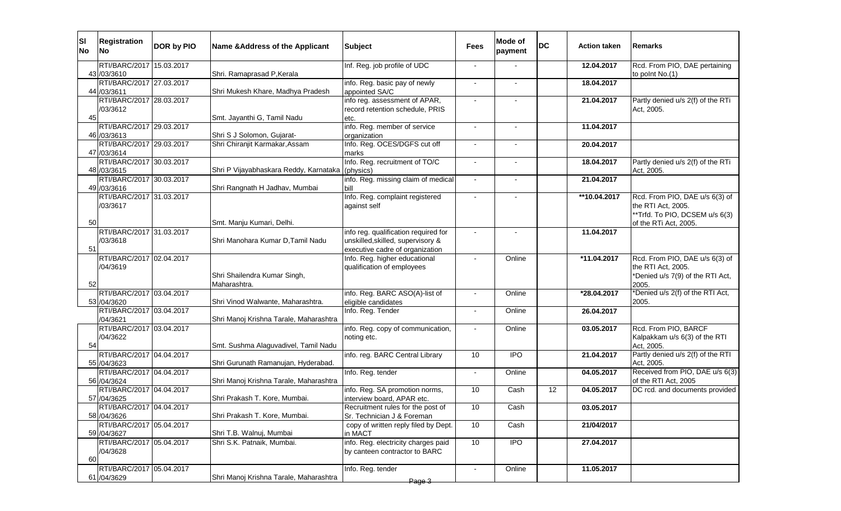| ISI<br><b>No</b> | <b>Registration</b><br><b>INo</b>       | DOR by PIO | Name & Address of the Applicant                        | <b>Subject</b>                                              | Fees           | Mode of<br>payment | <b>DC</b> | <b>Action taken</b> | <b>IRemarks</b>                                                                                                 |
|------------------|-----------------------------------------|------------|--------------------------------------------------------|-------------------------------------------------------------|----------------|--------------------|-----------|---------------------|-----------------------------------------------------------------------------------------------------------------|
|                  | RTI/BARC/2017 15.03.2017                |            |                                                        | Inf. Reg. job profile of UDC                                |                |                    |           | 12.04.2017          | Rcd. From PIO, DAE pertaining                                                                                   |
|                  | 43 /03/3610                             |            | Shri. Ramaprasad P, Kerala                             |                                                             |                |                    |           |                     | to point No.(1)                                                                                                 |
|                  | RTI/BARC/2017 27.03.2017<br>44 /03/3611 |            | Shri Mukesh Khare, Madhya Pradesh                      | info. Reg. basic pay of newly<br>appointed SA/C             |                |                    |           | 18.04.2017          |                                                                                                                 |
|                  | RTI/BARC/2017 28.03.2017                |            |                                                        | info reg. assessment of APAR,                               |                |                    |           | 21.04.2017          | Partly denied u/s 2(f) of the RTi                                                                               |
|                  | /03/3612                                |            |                                                        | record retention schedule, PRIS                             |                |                    |           |                     | Act, 2005.                                                                                                      |
| 45               |                                         |            | Smt. Jayanthi G, Tamil Nadu                            | etc.                                                        |                |                    |           |                     |                                                                                                                 |
|                  | RTI/BARC/2017 29.03.2017                |            |                                                        | info. Reg. member of service                                |                |                    |           | 11.04.2017          |                                                                                                                 |
|                  | 46 /03/3613                             |            | Shri S J Solomon, Gujarat-                             | organization                                                |                |                    |           |                     |                                                                                                                 |
|                  | RTI/BARC/2017 29.03.2017                |            | Shri Chiranjit Karmakar, Assam                         | Info. Reg. OCES/DGFS cut off                                | $\blacksquare$ |                    |           | 20.04.2017          |                                                                                                                 |
|                  | 47 /03/3614<br>RTI/BARC/2017 30.03.2017 |            |                                                        | marks<br>Info. Reg. recruitment of TO/C                     |                |                    |           | 18.04.2017          | Partly denied u/s 2(f) of the RTi                                                                               |
|                  | 48 / 03 / 3615                          |            | Shri P Vijayabhaskara Reddy, Karnataka (physics)       |                                                             |                |                    |           |                     | Act, 2005.                                                                                                      |
|                  | RTI/BARC/2017 30.03.2017                |            |                                                        | info. Reg. missing claim of medical                         | $\sim$         | $\blacksquare$     |           | 21.04.2017          |                                                                                                                 |
|                  | 49 /03/3616                             |            | Shri Rangnath H Jadhav, Mumbai                         | bill                                                        |                |                    |           |                     |                                                                                                                 |
| 50               | RTI/BARC/2017 31.03.2017<br>/03/3617    |            | Smt. Manju Kumari, Delhi.                              | Info. Reg. complaint registered<br>against self             |                |                    |           | **10.04.2017        | Rcd. From PIO, DAE u/s 6(3) of<br>the RTI Act, 2005.<br>**Trfd. To PIO, DCSEM u/s 6(3)<br>of the RTi Act, 2005. |
|                  | RTI/BARC/2017 31.03.2017                |            |                                                        | info reg. qualification required for                        |                |                    |           | 11.04.2017          |                                                                                                                 |
|                  | /03/3618                                |            | Shri Manohara Kumar D.Tamil Nadu                       | unskilled, skilled, supervisory &                           |                |                    |           |                     |                                                                                                                 |
| 51               |                                         |            |                                                        | executive cadre of organization                             |                |                    |           |                     |                                                                                                                 |
| 52               | RTI/BARC/2017 02.04.2017<br>/04/3619    |            | Shri Shailendra Kumar Singh,<br>Maharashtra.           | Info. Reg. higher educational<br>qualification of employees |                | Online             |           | *11.04.2017         | Rcd. From PIO, DAE u/s 6(3) of<br>the RTI Act, 2005.<br>*Denied u/s 7(9) of the RTI Act,<br>2005.               |
|                  | RTI/BARC/2017 03.04.2017                |            |                                                        | info. Reg. BARC ASO(A)-list of                              |                | Online             |           | *28.04.2017         | *Denied u/s 2(f) of the RTI Act,                                                                                |
|                  | 53 /04/3620<br>RTI/BARC/2017 03.04.2017 |            | Shri Vinod Walwante, Maharashtra.                      | eligible candidates<br>Info. Reg. Tender                    |                | Online             |           |                     | 2005.                                                                                                           |
|                  | /04/3621                                |            | Shri Manoj Krishna Tarale, Maharashtra                 |                                                             |                |                    |           | 26.04.2017          |                                                                                                                 |
|                  | RTI/BARC/2017 03.04.2017                |            |                                                        | info. Reg. copy of communication,                           |                | Online             |           | 03.05.2017          | Rcd. From PIO, BARCF                                                                                            |
| 54               | /04/3622                                |            | Smt. Sushma Alaguvadivel, Tamil Nadu                   | noting etc.                                                 |                |                    |           |                     | Kalpakkam u/s 6(3) of the RTI<br>Act, 2005.                                                                     |
|                  | RTI/BARC/2017 04.04.2017                |            |                                                        | info. reg. BARC Central Library                             | 10             | <b>IPO</b>         |           | 21.04.2017          | Partly denied u/s 2(f) of the RTI                                                                               |
|                  | 55 /04/3623<br>RTI/BARC/2017 04.04.2017 |            | Shri Gurunath Ramanujan, Hyderabad.                    | Info. Reg. tender                                           |                | Online             |           | 04.05.2017          | Act, 2005.<br>Received from PIO, DAE u/s 6(3)                                                                   |
|                  | 56 /04/3624                             |            | Shri Manoj Krishna Tarale, Maharashtra                 |                                                             | $\blacksquare$ |                    |           |                     | of the RTI Act, 2005                                                                                            |
|                  | RTI/BARC/2017 04.04.2017                |            |                                                        | info. Reg. SA promotion norms,                              | 10             | Cash               | 12        | 04.05.2017          | DC rcd. and documents provided                                                                                  |
|                  | 57 /04/3625                             |            | Shri Prakash T. Kore, Mumbai.                          | interview board, APAR etc.                                  |                |                    |           |                     |                                                                                                                 |
|                  | RTI/BARC/2017  04.04.2017               |            |                                                        | Recruitment rules for the post of                           | 10             | Cash               |           | 03.05.2017          |                                                                                                                 |
|                  | 58 /04/3626                             |            | Shri Prakash T. Kore, Mumbai.                          | Sr. Technician J & Foreman                                  |                |                    |           |                     |                                                                                                                 |
|                  | RTI/BARC/2017 05.04.2017                |            |                                                        | copy of written reply filed by Dept.                        | 10             | Cash               |           | 21/04/2017          |                                                                                                                 |
|                  | 59 /04/3627<br>RTI/BARC/2017 05.04.2017 |            | Shri T.B. Walnuj, Mumbai<br>Shri S.K. Patnaik, Mumbai. | in MACT<br>info. Reg. electricity charges paid              | 10             | $\overline{1}$     |           | 27.04.2017          |                                                                                                                 |
|                  | /04/3628                                |            |                                                        | by canteen contractor to BARC                               |                |                    |           |                     |                                                                                                                 |
| 60               |                                         |            |                                                        |                                                             |                |                    |           |                     |                                                                                                                 |
|                  | RTI/BARC/2017 05.04.2017                |            |                                                        | Info. Reg. tender                                           | $\blacksquare$ | Online             |           | 11.05.2017          |                                                                                                                 |
|                  | 61 /04/3629                             |            | Shri Manoj Krishna Tarale, Maharashtra                 | Page 3                                                      |                |                    |           |                     |                                                                                                                 |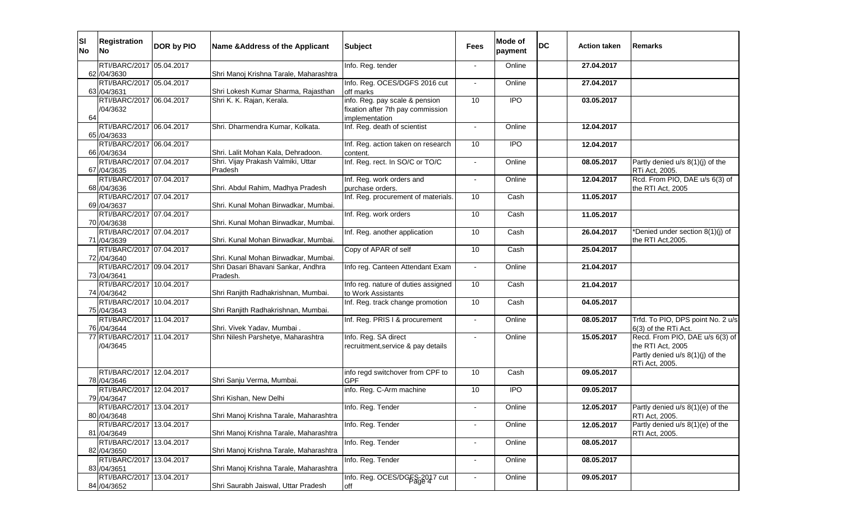| ISI<br><b>No</b> | <b>Registration</b><br><b>No</b>         | DOR by PIO | Name & Address of the Applicant        | <b>Subject</b>                                             | <b>Fees</b>              | Mode of<br>payment | <b>DC</b> | <b>Action taken</b> | Remarks                                                                                                    |
|------------------|------------------------------------------|------------|----------------------------------------|------------------------------------------------------------|--------------------------|--------------------|-----------|---------------------|------------------------------------------------------------------------------------------------------------|
|                  | RTI/BARC/2017 05.04.2017<br>62 / 04/3630 |            | Shri Manoj Krishna Tarale, Maharashtra | Info. Reg. tender                                          |                          | Online             |           | 27.04.2017          |                                                                                                            |
|                  | RTI/BARC/2017 05.04.2017                 |            |                                        | Info. Reg. OCES/DGFS 2016 cut                              |                          | Online             |           | 27.04.2017          |                                                                                                            |
|                  | 63 / 04/3631                             |            | Shri Lokesh Kumar Sharma, Rajasthan    | off marks                                                  |                          |                    |           |                     |                                                                                                            |
|                  | RTI/BARC/2017 06.04.2017                 |            | Shri K. K. Rajan, Kerala.              | info. Reg. pay scale & pension                             | 10                       | <b>IPO</b>         |           | 03.05.2017          |                                                                                                            |
|                  | /04/3632                                 |            |                                        | fixation after 7th pay commission                          |                          |                    |           |                     |                                                                                                            |
| 64               | RTI/BARC/2017 06.04.2017                 |            | Shri. Dharmendra Kumar, Kolkata.       | implementation<br>Inf. Reg. death of scientist             |                          | Online             |           | 12.04.2017          |                                                                                                            |
|                  | 65 / 04/3633                             |            |                                        |                                                            |                          |                    |           |                     |                                                                                                            |
|                  | RTI/BARC/2017 06.04.2017                 |            |                                        | Inf. Reg. action taken on research                         | 10                       | <b>IPO</b>         |           | 12.04.2017          |                                                                                                            |
|                  | 66 / 04/3634                             |            | Shri. Lalit Mohan Kala, Dehradoon.     | content.                                                   |                          |                    |           |                     |                                                                                                            |
|                  | RTI/BARC/2017 07.04.2017                 |            | Shri. Vijay Prakash Valmiki, Uttar     | Inf. Reg. rect. In SO/C or TO/C                            | $\blacksquare$           | Online             |           | 08.05.2017          | Partly denied u/s 8(1)(j) of the                                                                           |
|                  | 67 / 04/3635                             |            | Pradesh                                |                                                            |                          |                    |           |                     | RTi Act, 2005.                                                                                             |
|                  | RTI/BARC/2017 07.04.2017                 |            |                                        | Inf. Reg. work orders and                                  | $\sim$                   | Online             |           | 12.04.2017          | Rcd. From PIO, DAE u/s 6(3) of                                                                             |
|                  | 68 / 04/3636                             |            | Shri. Abdul Rahim, Madhya Pradesh      | purchase orders.                                           |                          |                    |           |                     | the RTI Act, 2005                                                                                          |
|                  | RTI/BARC/2017 07.04.2017                 |            |                                        | Inf. Reg. procurement of materials.                        | 10                       | Cash               |           | 11.05.2017          |                                                                                                            |
|                  | 69 / 04/3637<br>RTI/BARC/2017 07.04.2017 |            | Shri. Kunal Mohan Birwadkar, Mumbai.   | Inf. Reg. work orders                                      | 10                       | Cash               |           | 11.05.2017          |                                                                                                            |
|                  | 70 /04/3638                              |            | Shri. Kunal Mohan Birwadkar, Mumbai.   |                                                            |                          |                    |           |                     |                                                                                                            |
|                  | RTI/BARC/2017 07.04.2017                 |            |                                        | Inf. Reg. another application                              | 10                       | Cash               |           | 26.04.2017          | *Denied under section 8(1)(j) of                                                                           |
|                  | 71 /04/3639                              |            | Shri. Kunal Mohan Birwadkar, Mumbai.   |                                                            |                          |                    |           |                     | the RTI Act, 2005.                                                                                         |
|                  | RTI/BARC/2017 07.04.2017                 |            |                                        | Copy of APAR of self                                       | 10                       | Cash               |           | 25.04.2017          |                                                                                                            |
|                  | 72 /04/3640                              |            | Shri. Kunal Mohan Birwadkar, Mumbai.   |                                                            |                          |                    |           |                     |                                                                                                            |
|                  | RTI/BARC/2017 09.04.2017                 |            | Shri Dasari Bhavani Sankar, Andhra     | Info reg. Canteen Attendant Exam                           |                          | Online             |           | 21.04.2017          |                                                                                                            |
|                  | 73 /04/3641                              |            | Pradesh.                               |                                                            |                          |                    |           |                     |                                                                                                            |
|                  | RTI/BARC/2017 10.04.2017                 |            |                                        | Info reg. nature of duties assigned                        | 10                       | Cash               |           | 21.04.2017          |                                                                                                            |
|                  | 74 /04/3642<br>RTI/BARC/2017 10.04.2017  |            | Shri Ranjith Radhakrishnan, Mumbai.    | to Work Assistants                                         | 10                       | Cash               |           |                     |                                                                                                            |
|                  | 75 /04/3643                              |            | Shri Ranjith Radhakrishnan, Mumbai.    | Inf. Reg. track change promotion                           |                          |                    |           | 04.05.2017          |                                                                                                            |
|                  | RTI/BARC/2017 11.04.2017                 |            |                                        | Inf. Reg. PRIS I & procurement                             | $\sim$                   | Online             |           | 08.05.2017          | Trfd. To PIO, DPS point No. 2 u/s                                                                          |
|                  | 76 / 04/3644                             |            | Shri. Vivek Yadav, Mumbai.             |                                                            |                          |                    |           |                     | 6(3) of the RTi Act.                                                                                       |
|                  | 77 RTI/BARC/2017 11.04.2017<br>/04/3645  |            | Shri Nilesh Parshetye, Maharashtra     | Info. Reg. SA direct<br>recruitment, service & pay details | $\blacksquare$           | Online             |           | 15.05.2017          | Recd. From PIO, DAE u/s 6(3) of<br>the RTI Act, 2005<br>Partly denied u/s 8(1)(j) of the<br>RTi Act, 2005. |
|                  | RTI/BARC/2017 12.04.2017                 |            |                                        | info regd switchover from CPF to                           | 10                       | Cash               |           | 09.05.2017          |                                                                                                            |
|                  | 78 /04/3646                              |            | Shri Sanju Verma, Mumbai.              | <b>GPF</b>                                                 |                          |                    |           |                     |                                                                                                            |
|                  | RTI/BARC/2017 12.04.2017                 |            |                                        | info. Reg. C-Arm machine                                   | 10                       | <b>IPO</b>         |           | 09.05.2017          |                                                                                                            |
|                  | 79 / 04/3647<br>RTI/BARC/2017 13.04.2017 |            | Shri Kishan, New Delhi                 | Info. Reg. Tender                                          |                          |                    |           |                     |                                                                                                            |
|                  | 80 / 04/3648                             |            | Shri Manoj Krishna Tarale, Maharashtra |                                                            |                          | Online             |           | 12.05.2017          | Partly denied u/s 8(1)(e) of the<br>RTI Act, 2005.                                                         |
|                  | RTI/BARC/2017 13.04.2017                 |            |                                        | Info. Reg. Tender                                          | $\blacksquare$           | Online             |           | 12.05.2017          | Partly denied u/s 8(1)(e) of the                                                                           |
|                  | 81 /04/3649                              |            | Shri Manoj Krishna Tarale, Maharashtra |                                                            |                          |                    |           |                     | RTI Act, 2005.                                                                                             |
|                  | RTI/BARC/2017 13.04.2017                 |            |                                        | Info. Reg. Tender                                          | $\overline{\phantom{a}}$ | Online             |           | 08.05.2017          |                                                                                                            |
|                  | 82 / 04/3650                             |            | Shri Manoj Krishna Tarale, Maharashtra |                                                            |                          |                    |           |                     |                                                                                                            |
|                  | RTI/BARC/2017 13.04.2017<br>83 / 04/3651 |            | Shri Manoj Krishna Tarale, Maharashtra | Info. Reg. Tender                                          | $\blacksquare$           | Online             |           | 08.05.2017          |                                                                                                            |
|                  | RTI/BARC/2017 13.04.2017                 |            |                                        | Info. Reg. OCES/DGES-2017 cut                              |                          | Online             |           | 09.05.2017          |                                                                                                            |
|                  | 84 / 04/3652                             |            | Shri Saurabh Jaiswal, Uttar Pradesh    | off                                                        |                          |                    |           |                     |                                                                                                            |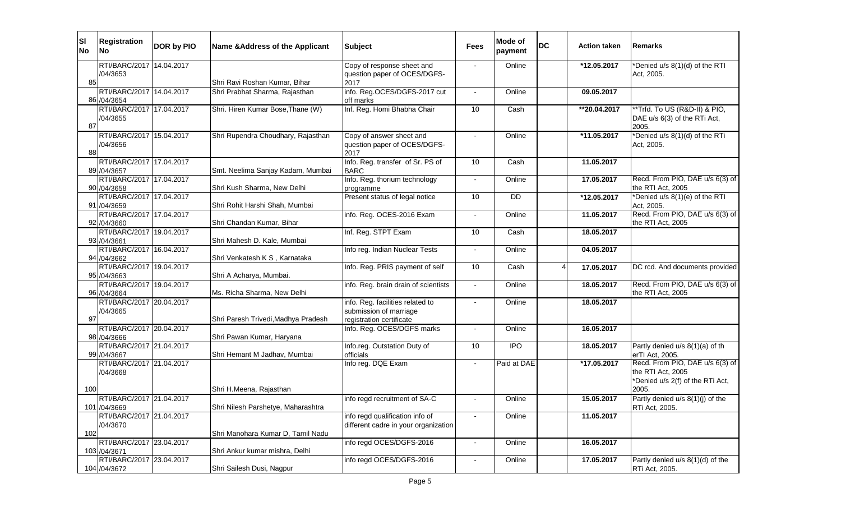| <b>SI</b><br><b>No</b> | <b>Registration</b><br><b>INo</b>         | DOR by PIO | Name & Address of the Applicant     | <b>Subject</b>                                                                         | <b>Fees</b>              | Mode of<br>payment | DC | <b>Action taken</b> | Remarks                                                                                  |
|------------------------|-------------------------------------------|------------|-------------------------------------|----------------------------------------------------------------------------------------|--------------------------|--------------------|----|---------------------|------------------------------------------------------------------------------------------|
|                        | RTI/BARC/2017 14.04.2017                  |            |                                     | Copy of response sheet and                                                             |                          | Online             |    | *12.05.2017         | *Denied u/s 8(1)(d) of the RTI                                                           |
|                        | /04/3653                                  |            |                                     | question paper of OCES/DGFS-                                                           |                          |                    |    |                     | Act, 2005.                                                                               |
| 85                     |                                           |            | Shri Ravi Roshan Kumar, Bihar       | 2017                                                                                   |                          |                    |    |                     |                                                                                          |
|                        | RTI/BARC/2017 14.04.2017<br>86 / 04/3654  |            | Shri Prabhat Sharma, Rajasthan      | info. Reg.OCES/DGFS-2017 cut<br>off marks                                              |                          | Online             |    | 09.05.2017          |                                                                                          |
| 87                     | RTI/BARC/2017 17.04.2017<br>/04/3655      |            | Shri. Hiren Kumar Bose, Thane (W)   | Inf. Reg. Homi Bhabha Chair                                                            | 10                       | Cash               |    | **20.04.2017        | **Trfd. To US (R&D-II) & PIO,<br>DAE u/s 6(3) of the RTi Act,<br>2005.                   |
| 88                     | RTI/BARC/2017 15.04.2017<br>/04/3656      |            | Shri Rupendra Choudhary, Rajasthan  | Copy of answer sheet and<br>question paper of OCES/DGFS-<br>2017                       |                          | Online             |    | *11.05.2017         | 'Denied u/s 8(1)(d) of the RTi<br>Act, 2005.                                             |
|                        | RTI/BARC/2017 17.04.2017<br>89 / 04/3657  |            | Smt. Neelima Sanjay Kadam, Mumbai   | Info. Reg. transfer of Sr. PS of<br><b>BARC</b>                                        | 10                       | Cash               |    | 11.05.2017          |                                                                                          |
|                        | RTI/BARC/2017 17.04.2017<br>90 /04/3658   |            | Shri Kush Sharma, New Delhi         | Info. Reg. thorium technology<br>programme                                             |                          | Online             |    | 17.05.2017          | Recd. From PIO, DAE u/s 6(3) of<br>the RTI Act, 2005                                     |
|                        | RTI/BARC/2017 17.04.2017<br>91 /04/3659   |            | Shri Rohit Harshi Shah, Mumbai      | Present status of legal notice                                                         | 10                       | DD                 |    | *12.05.2017         | *Denied u/s 8(1)(e) of the RTI<br>Act, 2005.                                             |
|                        | RTI/BARC/2017 17.04.2017<br>92 /04/3660   |            | Shri Chandan Kumar, Bihar           | info. Reg. OCES-2016 Exam                                                              |                          | Online             |    | 11.05.2017          | Recd. From PIO, DAE u/s 6(3) of<br>the RTI Act, 2005                                     |
|                        | RTI/BARC/2017 19.04.2017<br>93 /04/3661   |            | Shri Mahesh D. Kale, Mumbai         | Inf. Reg. STPT Exam                                                                    | 10                       | Cash               |    | 18.05.2017          |                                                                                          |
|                        | RTI/BARC/2017 16.04.2017<br>94 /04/3662   |            | Shri Venkatesh K S, Karnataka       | Info reg. Indian Nuclear Tests                                                         | $\blacksquare$           | Online             |    | 04.05.2017          |                                                                                          |
|                        | RTI/BARC/2017 19.04.2017<br>95 /04/3663   |            | Shri A Acharya, Mumbai.             | Info. Reg. PRIS payment of self                                                        | 10                       | Cash               |    | 17.05.2017          | DC rcd. And documents provided                                                           |
|                        | RTI/BARC/2017 19.04.2017<br>96 /04/3664   |            | Ms. Richa Sharma, New Delhi         | info. Reg. brain drain of scientists                                                   | $\overline{\phantom{a}}$ | Online             |    | 18.05.2017          | Recd. From PIO, DAE u/s 6(3) of<br>the RTI Act, 2005                                     |
| 97                     | RTI/BARC/2017 20.04.2017<br>/04/3665      |            | Shri Paresh Trivedi, Madhya Pradesh | info. Reg. facilities related to<br>submission of marriage<br>registration certificate |                          | Online             |    | 18.05.2017          |                                                                                          |
|                        | RTI/BARC/2017 20.04.2017<br>98 / 04/3666  |            | Shri Pawan Kumar, Haryana           | Info. Reg. OCES/DGFS marks                                                             | $\blacksquare$           | Online             |    | 16.05.2017          |                                                                                          |
|                        | RTI/BARC/2017 21.04.2017<br>99 / 04/3667  |            | Shri Hemant M Jadhav, Mumbai        | Info.reg. Outstation Duty of<br>officials                                              | 10                       | <b>IPO</b>         |    | 18.05.2017          | Partly denied u/s 8(1)(a) of th<br>erTI Act, 2005.                                       |
|                        | RTI/BARC/2017 21.04.2017<br>/04/3668      |            |                                     | Info reg. DQE Exam                                                                     | $\sim$                   | Paid at DAE        |    | *17.05.2017         | Recd. From PIO, DAE u/s 6(3) of<br>the RTI Act, 2005<br>*Denied u/s 2(f) of the RTi Act, |
| 100                    |                                           |            | Shri H.Meena, Rajasthan             |                                                                                        |                          |                    |    |                     | 2005.                                                                                    |
|                        | RTI/BARC/2017 21.04.2017<br>101 /04/3669  |            | Shri Nilesh Parshetye, Maharashtra  | info regd recruitment of SA-C                                                          | $\overline{\phantom{a}}$ | Online             |    | 15.05.2017          | Partly denied $u/s$ 8(1)(j) of the<br>RTi Act, 2005.                                     |
| 102                    | RTI/BARC/2017 21.04.2017<br>/04/3670      |            | Shri Manohara Kumar D, Tamil Nadu   | info regd qualification info of<br>different cadre in your organization                |                          | Online             |    | 11.05.2017          |                                                                                          |
|                        | RTI/BARC/2017 23.04.2017<br>103 / 04/3671 |            | Shri Ankur kumar mishra, Delhi      | info regd OCES/DGFS-2016                                                               | $\overline{\phantom{a}}$ | Online             |    | 16.05.2017          |                                                                                          |
|                        | RTI/BARC/2017 23.04.2017<br>104 /04/3672  |            | Shri Sailesh Dusi, Nagpur           | info regd OCES/DGFS-2016                                                               |                          | Online             |    | 17.05.2017          | Partly denied u/s 8(1)(d) of the<br>RTi Act, 2005.                                       |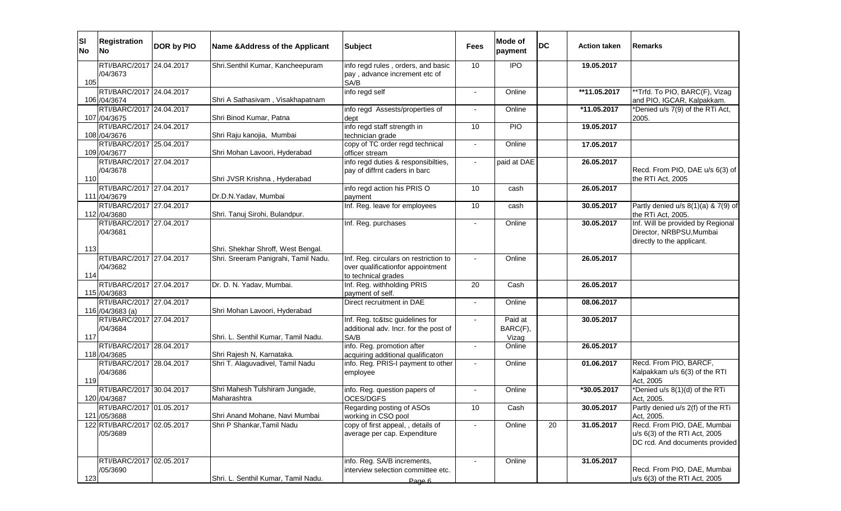| <b>SI</b><br><b>No</b> | <b>Registration</b><br>lNo l                 | DOR by PIO | Name & Address of the Applicant                                            | <b>Subject</b>                                                                   | <b>Fees</b> | Mode of<br>payment           | <b>DC</b> | <b>Action taken</b> | Remarks                                                                                        |
|------------------------|----------------------------------------------|------------|----------------------------------------------------------------------------|----------------------------------------------------------------------------------|-------------|------------------------------|-----------|---------------------|------------------------------------------------------------------------------------------------|
| 105                    | RTI/BARC/2017 24.04.2017<br>/04/3673         |            | Shri.Senthil Kumar, Kancheepuram                                           | info regd rules, orders, and basic<br>pay, advance increment etc of<br>SA/B      | 10          | <b>IPO</b>                   |           | 19.05.2017          |                                                                                                |
|                        | RTI/BARC/2017 24.04.2017<br>106 / 04/3674    |            | Shri A Sathasivam, Visakhapatnam                                           | info regd self                                                                   | $\sim$      | Online                       |           | **11.05.2017        | **Trfd. To PIO, BARC(F), Vizag<br>and PIO, IGCAR, Kalpakkam.                                   |
|                        | RTI/BARC/2017 24.04.2017<br>107 /04/3675     |            | Shri Binod Kumar, Patna                                                    | info regd Assests/properties of<br>dept                                          | $\sim$      | Online                       |           | *11.05.2017         | *Denied u/s 7(9) of the RTi Act,<br>2005.                                                      |
|                        | RTI/BARC/2017 24.04.2017<br>108 /04/3676     |            | Shri Raju kanojia, Mumbai                                                  | info regd staff strength in<br>technician grade                                  | 10          | <b>PIO</b>                   |           | 19.05.2017          |                                                                                                |
|                        | RTI/BARC/2017 25.04.2017<br>109 /04/3677     |            | Shri Mohan Lavoori, Hyderabad                                              | copy of TC order regd technical<br>officer stream                                | $\sim$      | Online                       |           | 17.05.2017          |                                                                                                |
| 110                    | RTI/BARC/2017 27.04.2017<br>/04/3678         |            | Shri JVSR Krishna, Hyderabad                                               | info regd duties & responsibilties,<br>pay of diffrnt caders in barc             | $\sim$      | paid at DAE                  |           | 26.05.2017          | Recd. From PIO, DAE u/s 6(3) of<br>the RTI Act, 2005                                           |
|                        | RTI/BARC/2017 27.04.2017<br>111 /04/3679     |            | Dr.D.N.Yadav, Mumbai                                                       | info regd action his PRISO<br>payment                                            | 10          | cash                         |           | 26.05.2017          |                                                                                                |
|                        | RTI/BARC/2017 27.04.2017<br>112 /04/3680     |            | Shri. Tanuj Sirohi, Bulandpur.                                             | Inf. Reg. leave for employees                                                    | 10          | cash                         |           | 30.05.2017          | Partly denied $u/s$ 8(1)(a) & 7(9) of<br>the RTi Act, 2005.                                    |
|                        | RTI/BARC/2017 27.04.2017<br>/04/3681         |            |                                                                            | Inf. Reg. purchases                                                              |             | Online                       |           | 30.05.2017          | Inf. Will be provided by Regional<br>Director, NRBPSU, Mumbai<br>directly to the applicant.    |
| 113                    | RTI/BARC/2017 27.04.2017                     |            | Shri. Shekhar Shroff, West Bengal.<br>Shri. Sreeram Panigrahi, Tamil Nadu. | Inf. Reg. circulars on restriction to                                            |             | Online                       |           | 26.05.2017          |                                                                                                |
| 114                    | /04/3682                                     |            |                                                                            | over qualificationfor appointment<br>to technical grades                         |             |                              |           |                     |                                                                                                |
|                        | RTI/BARC/2017 27.04.2017<br>115 /04/3683     |            | Dr. D. N. Yadav, Mumbai.                                                   | Inf. Reg. withholding PRIS<br>payment of self.                                   | 20          | Cash                         |           | 26.05.2017          |                                                                                                |
|                        | RTI/BARC/2017 27.04.2017<br>116 /04/3683 (a) |            | Shri Mohan Lavoori, Hyderabad                                              | Direct recruitment in DAE                                                        |             | Online                       |           | 08.06.2017          |                                                                                                |
| 117                    | RTI/BARC/2017 27.04.2017<br>/04/3684         |            | Shri. L. Senthil Kumar, Tamil Nadu.                                        | Inf. Reg. tc&tsc guidelines for<br>additional adv. Incr. for the post of<br>SA/B | $\sim$      | Paid at<br>BARC(F),<br>Vizag |           | 30.05.2017          |                                                                                                |
|                        | RTI/BARC/2017 28.04.2017<br>118 /04/3685     |            | Shri Rajesh N, Karnataka.                                                  | info. Reg. promotion after<br>acquiring additional qualificaton                  |             | Online                       |           | 26.05.2017          |                                                                                                |
| 119                    | RTI/BARC/2017 28.04.2017<br>/04/3686         |            | Shri T. Alaguvadivel, Tamil Nadu                                           | info. Reg. PRIS-I payment to other<br>employee                                   | $\sim$      | Online                       |           | 01.06.2017          | Recd. From PIO, BARCF,<br>Kalpakkam u/s 6(3) of the RTI<br>Act, 2005                           |
|                        | RTI/BARC/2017 30.04.2017<br>120 /04/3687     |            | Shri Mahesh Tulshiram Jungade,<br>Maharashtra                              | info. Reg. question papers of<br>OCES/DGFS                                       |             | Online                       |           | *30.05.2017         | *Denied u/s 8(1)(d) of the RTi<br>Act, 2005.                                                   |
|                        | RTI/BARC/2017 01.05.2017<br>121 /05/3688     |            | Shri Anand Mohane, Navi Mumbai                                             | Regarding posting of ASOs<br>working in CSO pool                                 | 10          | Cash                         |           | 30.05.2017          | Partly denied u/s 2(f) of the RTi<br>Act. 2005.                                                |
|                        | 122 RTI/BARC/2017 02.05.2017<br>/05/3689     |            | Shri P Shankar, Tamil Nadu                                                 | copy of first appeal, , details of<br>average per cap. Expenditure               | $\sim$      | Online                       | 20        | 31.05.2017          | Recd. From PIO, DAE, Mumbai<br>u/s 6(3) of the RTI Act, 2005<br>DC rcd. And documents provided |
| 123                    | RTI/BARC/2017 02.05.2017<br>/05/3690         |            | Shri. L. Senthil Kumar, Tamil Nadu.                                        | info. Reg. SA/B increments,<br>interview selection committee etc.<br>Page 6      |             | Online                       |           | 31.05.2017          | Recd. From PIO, DAE, Mumbai<br>u/s 6(3) of the RTI Act, 2005                                   |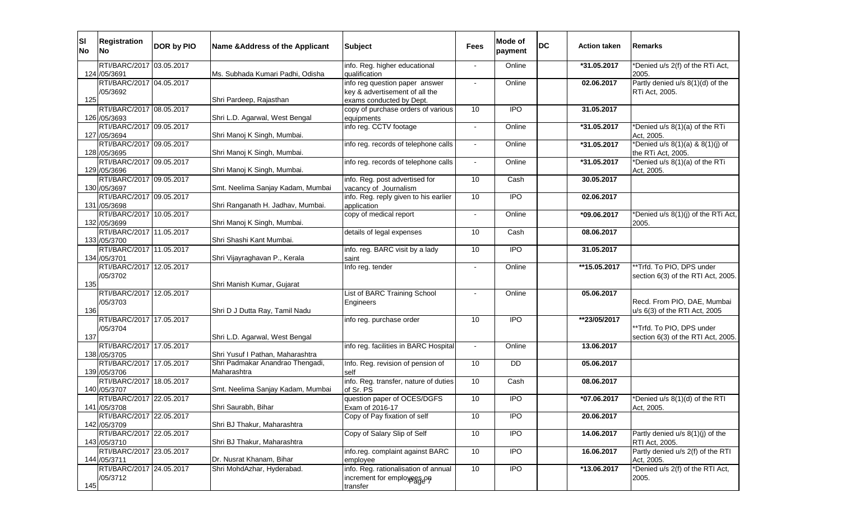| SI <br><b>No</b> | <b>Registration</b><br>lNo.                                          | DOR by PIO | Name & Address of the Applicant                 | <b>Subject</b>                                                                               | <b>Fees</b> | Mode of<br>payment | <b>DC</b> | <b>Action taken</b>      | <b>IRemarks</b>                                                 |
|------------------|----------------------------------------------------------------------|------------|-------------------------------------------------|----------------------------------------------------------------------------------------------|-------------|--------------------|-----------|--------------------------|-----------------------------------------------------------------|
|                  | RTI/BARC/2017 03.05.2017<br>124 /05/3691                             |            | Ms. Subhada Kumari Padhi, Odisha                | info. Reg. higher educational<br>qualification                                               |             | Online             |           | *31.05.2017              | *Denied u/s 2(f) of the RTi Act,<br>2005.                       |
| 125              | RTI/BARC/2017 04.05.2017<br>/05/3692                                 |            | Shri Pardeep, Rajasthan                         | info reg question paper answer<br>key & advertisement of all the<br>exams conducted by Dept. |             | Online             |           | 02.06.2017               | Partly denied u/s 8(1)(d) of the<br>RTi Act, 2005.              |
|                  | RTI/BARC/2017 08.05.2017<br>126 /05/3693                             |            | Shri L.D. Agarwal, West Bengal                  | copy of purchase orders of various<br>equipments                                             | 10          | $\overline{1}$     |           | 31.05.2017               |                                                                 |
|                  | RTI/BARC/2017 09.05.2017<br>127 /05/3694                             |            | Shri Manoj K Singh, Mumbai.                     | info reg. CCTV footage                                                                       |             | Online             |           | *31.05.2017              | *Denied u/s 8(1)(a) of the RTi<br>Act, 2005.                    |
|                  | RTI/BARC/2017 09.05.2017<br>128 /05/3695                             |            | Shri Manoj K Singh, Mumbai.                     | info reg. records of telephone calls                                                         | $\sim$      | Online             |           | *31.05.2017              | *Denied u/s $8(1)(a)$ & $8(1)(j)$ of<br>the RTi Act, 2005.      |
|                  | RTI/BARC/2017 09.05.2017<br>129 /05/3696                             |            | Shri Manoj K Singh, Mumbai.                     | info reg. records of telephone calls                                                         | $\sim$      | Online             |           | *31.05.2017              | *Denied u/s 8(1)(a) of the RTi<br>Act, 2005.                    |
|                  | RTI/BARC/2017 09.05.2017<br>130 /05/3697                             |            | Smt. Neelima Sanjay Kadam, Mumbai               | info. Reg. post advertised for<br>vacancy of Journalism                                      | 10          | Cash               |           | 30.05.2017               |                                                                 |
|                  | RTI/BARC/2017 09.05.2017<br>131 /05/3698                             |            | Shri Ranganath H. Jadhav, Mumbai.               | info. Reg. reply given to his earlier<br>application                                         | 10          | <b>IPO</b>         |           | 02.06.2017               |                                                                 |
|                  | RTI/BARC/2017 10.05.2017<br>132 /05/3699                             |            | Shri Manoj K Singh, Mumbai.                     | copy of medical report                                                                       |             | Online             |           | *09.06.2017              | *Denied u/s 8(1)(j) of the RTi Act,<br>2005.                    |
|                  | RTI/BARC/2017 11.05.2017<br>133 /05/3700<br>RTI/BARC/2017 11.05.2017 |            | Shri Shashi Kant Mumbai.                        | details of legal expenses<br>info. reg. BARC visit by a lady                                 | 10<br>10    | Cash<br><b>IPO</b> |           | 08.06.2017<br>31.05.2017 |                                                                 |
|                  | 134 /05/3701<br>RTI/BARC/2017 12.05.2017                             |            | Shri Vijayraghavan P., Kerala                   | saint<br>Info reg. tender                                                                    |             | Online             |           |                          | **Trfd. To PIO, DPS under                                       |
| 135              | /05/3702                                                             |            | Shri Manish Kumar, Gujarat                      |                                                                                              |             |                    |           | **15.05.2017             | section 6(3) of the RTI Act, 2005.                              |
| 136              | RTI/BARC/2017 12.05.2017<br>/05/3703                                 |            | Shri D J Dutta Ray, Tamil Nadu                  | List of BARC Training School<br>Engineers                                                    |             | Online             |           | 05.06.2017               | Recd. From PIO, DAE, Mumbai<br>u/s 6(3) of the RTI Act, 2005    |
| 137              | RTI/BARC/2017 17.05.2017<br>/05/3704                                 |            | Shri L.D. Agarwal, West Bengal                  | info reg. purchase order                                                                     | 10          | <b>IPO</b>         |           | **23/05/2017             | **Trfd. To PIO, DPS under<br>section 6(3) of the RTI Act, 2005. |
|                  | RTI/BARC/2017 17.05.2017<br>138 /05/3705                             |            | Shri Yusuf I Pathan, Maharashtra                | info reg. facilities in BARC Hospital                                                        |             | Online             |           | 13.06.2017               |                                                                 |
|                  | RTI/BARC/2017 17.05.2017<br>139 /05/3706                             |            | Shri Padmakar Anandrao Thengadi,<br>Maharashtra | Info. Reg. revision of pension of<br>self                                                    | 10          | DD                 |           | 05.06.2017               |                                                                 |
|                  | RTI/BARC/2017 18.05.2017<br>140 /05/3707                             |            | Smt. Neelima Sanjay Kadam, Mumbai               | info. Reg. transfer, nature of duties<br>of Sr. PS                                           | 10          | Cash               |           | 08.06.2017               |                                                                 |
|                  | RTI/BARC/2017 22.05.2017<br>141 /05/3708                             |            | Shri Saurabh, Bihar                             | question paper of OCES/DGFS<br>Exam of 2016-17                                               | 10          | <b>IPO</b>         |           | *07.06.2017              | 'Denied u/s 8(1)(d) of the RTI<br>Act, 2005.                    |
|                  | RTI/BARC/2017 22.05.2017<br>142 /05/3709                             |            | Shri BJ Thakur, Maharashtra                     | Copy of Pay fixation of self                                                                 | 10          | $\overline{1}$     |           | 20.06.2017               |                                                                 |
|                  | RTI/BARC/2017 22.05.2017<br>143 /05/3710                             |            | Shri BJ Thakur, Maharashtra                     | Copy of Salary Slip of Self                                                                  | 10          | <b>IPO</b>         |           | 14.06.2017               | Partly denied u/s 8(1)(j) of the<br>RTI Act, 2005.              |
|                  | RTI/BARC/2017 23.05.2017<br>144 /05/3711                             |            | Dr. Nusrat Khanam, Bihar                        | info.reg. complaint against BARC<br>employee                                                 | 10          | $\overline{1}$     |           | 16.06.2017               | Partly denied u/s 2(f) of the RTI<br>Act, 2005.                 |
| 145              | RTI/BARC/2017 24.05.2017<br>/05/3712                                 |            | Shri MohdAzhar, Hyderabad.                      | info. Reg. rationalisation of annual<br>increment for employees on<br>transfer               | 10          | $\overline{1}$     |           | *13.06.2017              | *Denied u/s 2(f) of the RTI Act,<br>2005.                       |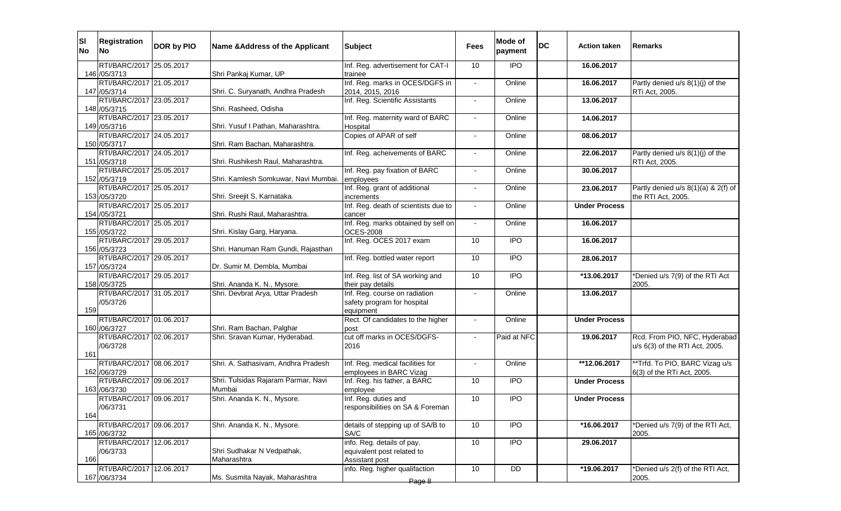| lsı<br><b>No</b> | <b>Registration</b><br>lNo.               | DOR by PIO | Name & Address of the Applicant               | <b>Subject</b>                                                            | Fees           | Mode of<br>payment | <b>DC</b> | <b>Action taken</b>  | <b>IRemarks</b>                                                 |
|------------------|-------------------------------------------|------------|-----------------------------------------------|---------------------------------------------------------------------------|----------------|--------------------|-----------|----------------------|-----------------------------------------------------------------|
|                  | RTI/BARC/2017 25.05.2017                  |            | Shri Pankaj Kumar, UP                         | Inf. Reg. advertisement for CAT-I                                         | 10             | <b>IPO</b>         |           | 16.06.2017           |                                                                 |
|                  | 146 / 05/3713<br>RTI/BARC/2017 21.05.2017 |            |                                               | trainee<br>Inf. Reg. marks in OCES/DGFS in                                |                | Online             |           | 16.06.2017           | Partly denied u/s 8(1)(j) of the                                |
|                  | 147 / 05/3714                             |            | Shri. C. Suryanath, Andhra Pradesh            | 2014, 2015, 2016                                                          |                |                    |           |                      | RTi Act, 2005.                                                  |
|                  | RTI/BARC/2017 23.05.2017                  |            |                                               | Inf. Reg. Scientific Assistants                                           | $\blacksquare$ | Online             |           | 13.06.2017           |                                                                 |
|                  | 148 / 05/3715<br>RTI/BARC/2017 23.05.2017 |            | Shri. Rasheed, Odisha                         | Inf. Reg. maternity ward of BARC                                          |                | Online             |           | 14.06.2017           |                                                                 |
|                  | 149 / 05/3716                             |            | Shri. Yusuf I Pathan, Maharashtra.            | Hospital                                                                  |                |                    |           |                      |                                                                 |
|                  | RTI/BARC/2017 24.05.2017                  |            |                                               | Copies of APAR of self                                                    |                | Online             |           | 08.06.2017           |                                                                 |
|                  | 150 /05/3717                              |            | Shri. Ram Bachan, Maharashtra.                |                                                                           |                |                    |           |                      |                                                                 |
|                  | RTI/BARC/2017 24.05.2017<br>151 /05/3718  |            | Shri. Rushikesh Raul, Maharashtra.            | Inf. Reg. acheivements of BARC                                            |                | Online             |           | 22.06.2017           | Partly denied $u/s$ 8(1)(j) of the<br>RTI Act, 2005.            |
|                  | RTI/BARC/2017 25.05.2017                  |            |                                               | Inf. Reg. pay fixation of BARC                                            |                | Online             |           | 30.06.2017           |                                                                 |
|                  | 152 /05/3719<br>RTI/BARC/2017 25.05.2017  |            | Shri. Kamlesh Somkuwar, Navi Mumbai.          | employees<br>Inf. Reg. grant of additional                                |                | Online             |           | 23.06.2017           | Partly denied $u/s$ 8(1)(a) & 2(f) of                           |
|                  | 153 /05/3720                              |            | Shri. Sreejit S, Karnataka.                   | increments                                                                |                |                    |           |                      | the RTI Act, 2005.                                              |
|                  | RTI/BARC/2017 25.05.2017                  |            |                                               | Inf. Reg. death of scientists due to                                      |                | Online             |           | <b>Under Process</b> |                                                                 |
|                  | 154 /05/3721<br>RTI/BARC/2017 25.05.2017  |            | Shri. Rushi Raul, Maharashtra.                | cancer<br>Inf. Reg. marks obtained by self on                             | $\blacksquare$ | Online             |           | 16.06.2017           |                                                                 |
|                  | 155 /05/3722                              |            | Shri. Kislay Garg, Haryana.                   | <b>OCES-2008</b>                                                          |                |                    |           |                      |                                                                 |
|                  | RTI/BARC/2017 29.05.2017                  |            |                                               | Inf. Reg. OCES 2017 exam                                                  | 10             | <b>IPO</b>         |           | 16.06.2017           |                                                                 |
|                  | 156 /05/3723<br>RTI/BARC/2017 29.05.2017  |            | Shri. Hanuman Ram Gundi, Rajasthan            |                                                                           |                |                    |           |                      |                                                                 |
|                  | 157 /05/3724                              |            | Dr. Sumir M. Dembla, Mumbai                   | Inf. Reg. bottled water report                                            | 10             | <b>IPO</b>         |           | 28.06.2017           |                                                                 |
|                  | RTI/BARC/2017 29.05.2017                  |            |                                               | Inf. Reg. list of SA working and                                          | 10             | <b>IPO</b>         |           | *13.06.2017          | *Denied u/s 7(9) of the RTI Act                                 |
|                  | 158 /05/3725                              |            | Shri. Ananda K. N., Mysore.                   | their pay details                                                         |                |                    |           |                      | 2005.                                                           |
| 159              | RTI/BARC/2017 31.05.2017<br>/05/3726      |            | Shri. Devbrat Arya, Uttar Pradesh             | Inf. Reg. course on radiation<br>safety program for hospital<br>equipment |                | Online             |           | 13.06.2017           |                                                                 |
|                  | RTI/BARC/2017 01.06.2017                  |            |                                               | Rect. Of candidates to the higher                                         | $\sim$         | Online             |           | <b>Under Process</b> |                                                                 |
|                  | 160 / 06/3727                             |            | Shri. Ram Bachan, Palghar                     | post                                                                      |                |                    |           |                      |                                                                 |
|                  | RTI/BARC/2017 02.06.2017<br>/06/3728      |            | Shri. Sravan Kumar, Hyderabad.                | cut off marks in OCES/DGFS-<br>2016                                       | $\sim$         | Paid at NFC        |           | 19.06.2017           | Rcd. From PIO, NFC, Hyderabad<br>u/s 6(3) of the RTI Act, 2005. |
| 161              |                                           |            |                                               |                                                                           |                |                    |           |                      |                                                                 |
|                  | RTI/BARC/2017 08.06.2017                  |            | Shri. A. Sathasivam, Andhra Pradesh           | Inf. Reg. medical facilities for                                          |                | Online             |           | **12.06.2017         | **Trfd. To PIO, BARC Vizag u/s                                  |
|                  | 162 /06/3729                              |            |                                               | employees in BARC Vizag                                                   |                |                    |           |                      | 6(3) of the RTi Act, 2005.                                      |
|                  | RTI/BARC/2017 09.06.2017<br>163 / 06/3730 |            | Shri. Tulsidas Rajaram Parmar, Navi<br>Mumbai | Inf. Reg. his father, a BARC<br>employee                                  | 10             | <b>IPO</b>         |           | <b>Under Process</b> |                                                                 |
|                  | RTI/BARC/2017 09.06.2017                  |            | Shri. Ananda K. N., Mysore.                   | Inf. Reg. duties and                                                      | 10             | <b>IPO</b>         |           | <b>Under Process</b> |                                                                 |
| 164              | /06/3731                                  |            |                                               | responsibilities on SA & Foreman                                          |                |                    |           |                      |                                                                 |
|                  | RTI/BARC/2017 09.06.2017                  |            | Shri. Ananda K. N., Mysore.                   | details of stepping up of SA/B to                                         | 10             | $\overline{1}$     |           | *16.06.2017          | *Denied u/s 7(9) of the RTI Act,                                |
|                  | 165 / 06/3732                             | 12.06.2017 |                                               | SA/C<br>info. Reg. details of pay,                                        |                |                    |           |                      | 2005.                                                           |
|                  | RTI/BARC/2017<br>/06/3733                 |            | Shri Sudhakar N Vedpathak,                    | equivalent post related to                                                | 10             | <b>IPO</b>         |           | 29.06.2017           |                                                                 |
| 166              |                                           |            | Maharashtra                                   | Assistant post                                                            |                |                    |           |                      |                                                                 |
|                  | RTI/BARC/2017                             | 12.06.2017 |                                               | info. Reg. higher qualifaction                                            | 10             | DD                 |           | *19.06.2017          | *Denied u/s 2(f) of the RTI Act,                                |
|                  | 167 / 06/3734                             |            | Ms. Susmita Nayak, Maharashtra                | Page 8                                                                    |                |                    |           |                      | 2005.                                                           |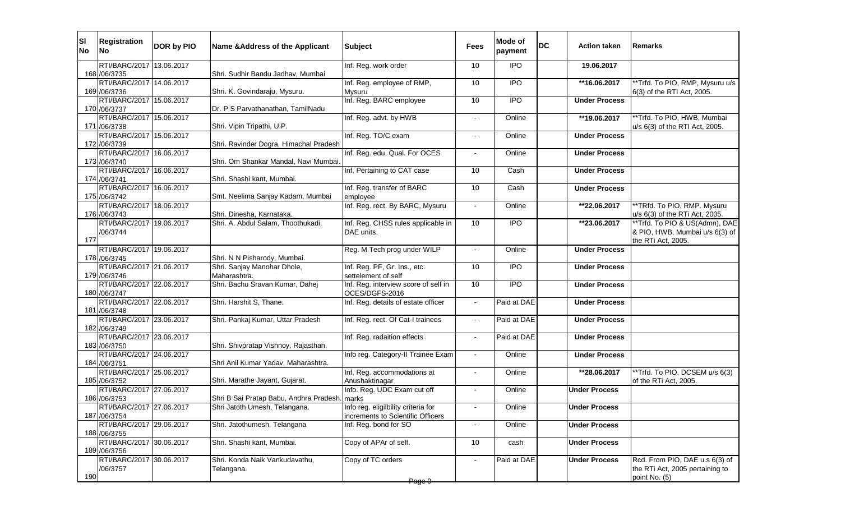| SI <br><b>No</b> | <b>Registration</b><br><b>INo</b>         | DOR by PIO | Name & Address of the Applicant                             | <b>Subject</b>                                                           | Fees                     | Mode of<br>payment | <b>DC</b> | <b>Action taken</b>  | Remarks                                                       |
|------------------|-------------------------------------------|------------|-------------------------------------------------------------|--------------------------------------------------------------------------|--------------------------|--------------------|-----------|----------------------|---------------------------------------------------------------|
|                  | RTI/BARC/2017 13.06.2017                  |            |                                                             | Inf. Reg. work order                                                     | 10                       | <b>IPO</b>         |           | 19.06.2017           |                                                               |
|                  | 168 / 06/3735<br>RTI/BARC/2017 14.06.2017 |            | Shri. Sudhir Bandu Jadhav, Mumbai                           | Inf. Reg. employee of RMP,                                               | 10                       | $\overline{1}$     |           | **16.06.2017         | **Trfd. To PIO, RMP, Mysuru u/s                               |
|                  | 169 / 06/3736                             |            | Shri. K. Govindaraju, Mysuru.                               | <b>Mysuru</b>                                                            |                          |                    |           |                      | 6(3) of the RTI Act, 2005.                                    |
|                  | RTI/BARC/2017 15.06.2017                  |            |                                                             | Inf. Reg. BARC employee                                                  | 10                       | <b>IPO</b>         |           | <b>Under Process</b> |                                                               |
|                  | 170 /06/3737                              |            | Dr. P S Parvathanathan, TamilNadu                           |                                                                          |                          |                    |           |                      |                                                               |
|                  | RTI/BARC/2017 15.06.2017<br>171 /06/3738  |            | Shri. Vipin Tripathi, U.P.                                  | Inf. Reg. advt. by HWB                                                   |                          | Online             |           | **19.06.2017         | *Trfd. To PIO, HWB, Mumbai<br>u/s 6(3) of the RTI Act, 2005.  |
|                  | RTI/BARC/2017 15.06.2017                  |            |                                                             | Inf. Reg. TO/C exam                                                      |                          | Online             |           | <b>Under Process</b> |                                                               |
|                  | 172 /06/3739                              |            | Shri. Ravinder Dogra, Himachal Pradesh                      |                                                                          |                          |                    |           |                      |                                                               |
|                  | RTI/BARC/2017 16.06.2017                  |            |                                                             | Inf. Reg. edu. Qual. For OCES                                            |                          | Online             |           | <b>Under Process</b> |                                                               |
|                  | 173 / 06/3740<br>RTI/BARC/2017 16.06.2017 |            | Shri. Om Shankar Mandal, Navi Mumbai.                       | Inf. Pertaining to CAT case                                              | 10                       | Cash               |           | <b>Under Process</b> |                                                               |
|                  | 174 /06/3741                              |            | Shri. Shashi kant, Mumbai.                                  |                                                                          |                          |                    |           |                      |                                                               |
|                  | RTI/BARC/2017 16.06.2017                  |            |                                                             | Inf. Reg. transfer of BARC                                               | 10                       | Cash               |           | <b>Under Process</b> |                                                               |
|                  | 175 /06/3742                              |            | Smt. Neelima Sanjay Kadam, Mumbai                           | employee                                                                 |                          |                    |           |                      |                                                               |
|                  | RTI/BARC/2017 18.06.2017<br>176 /06/3743  |            | Shri. Dinesha, Karnataka.                                   | Inf. Reg. rect. By BARC, Mysuru                                          |                          | Online             |           | **22.06.2017         | **TRfd. To PIO, RMP. Mysuru<br>u/s 6(3) of the RTi Act, 2005. |
|                  | RTI/BARC/2017 19.06.2017                  |            | Shri. A. Abdul Salam, Thoothukadi.                          | Inf. Reg. CHSS rules applicable in                                       | 10                       | $\overline{1}$     |           | **23.06.2017         | **Trfd. To PIO & US(Admn), DAE                                |
|                  | /06/3744                                  |            |                                                             | DAE units.                                                               |                          |                    |           |                      | & PIO, HWB, Mumbai u/s 6(3) of                                |
| 177              |                                           |            |                                                             |                                                                          |                          |                    |           |                      | the RTi Act, 2005.                                            |
|                  | RTI/BARC/2017 19.06.2017                  |            |                                                             | Reg. M Tech prog under WILP                                              | $\blacksquare$           | Online             |           | <b>Under Process</b> |                                                               |
|                  | 178 / 06/3745<br>RTI/BARC/2017 21.06.2017 |            | Shri. N N Pisharody, Mumbai.<br>Shri. Sanjay Manohar Dhole, | Inf. Reg. PF, Gr. Ins., etc.                                             | 10                       | <b>IPO</b>         |           | <b>Under Process</b> |                                                               |
|                  | 179 / 06/3746                             |            | Maharashtra.                                                | settelement of self                                                      |                          |                    |           |                      |                                                               |
|                  | RTI/BARC/2017 22.06.2017<br>180 / 06/3747 |            | Shri. Bachu Sravan Kumar, Dahej                             | Inf. Reg. interview score of self in<br>OCES/DGFS-2016                   | 10                       | $\overline{1}$     |           | <b>Under Process</b> |                                                               |
|                  | RTI/BARC/2017 22.06.2017<br>181 /06/3748  |            | Shri. Harshit S, Thane.                                     | Inf. Reg. details of estate officer                                      | $\sim$                   | Paid at DAE        |           | <b>Under Process</b> |                                                               |
|                  | RTI/BARC/2017 23.06.2017                  |            | Shri. Pankaj Kumar, Uttar Pradesh                           | Inf. Reg. rect. Of Cat-I trainees                                        | $\sim$                   | Paid at DAE        |           | <b>Under Process</b> |                                                               |
|                  | 182 / 06/3749                             |            |                                                             |                                                                          |                          |                    |           |                      |                                                               |
|                  | RTI/BARC/2017 23.06.2017                  |            |                                                             | Inf. Reg. radaition effects                                              | $\sim$                   | Paid at DAE        |           | <b>Under Process</b> |                                                               |
|                  | 183 / 06/3750                             |            | Shri. Shivpratap Vishnoy, Rajasthan.                        |                                                                          |                          |                    |           |                      |                                                               |
|                  | RTI/BARC/2017 24.06.2017<br>184 /06/3751  |            | Shri Anil Kumar Yadav, Maharashtra.                         | Info reg. Category-II Trainee Exam                                       | $\sim$                   | Online             |           | <b>Under Process</b> |                                                               |
|                  | RTI/BARC/2017 25.06.2017                  |            |                                                             | Inf. Reg. accommodations at                                              |                          | Online             |           | **28.06.2017         | **Trfd. To PIO, DCSEM u/s 6(3)                                |
|                  | 185 / 06/3752                             |            | Shri. Marathe Jayant, Gujarat.                              | Anushaktinagar                                                           |                          |                    |           |                      | of the RTi Act, 2005.                                         |
|                  | RTI/BARC/2017 27.06.2017                  |            |                                                             | Info. Reg. UDC Exam cut off                                              |                          | Online             |           | <b>Under Process</b> |                                                               |
|                  | 186 / 06/3753<br>RTI/BARC/2017 27.06.2017 |            | Shri B Sai Pratap Babu, Andhra Pradesh. marks               |                                                                          |                          |                    |           |                      |                                                               |
|                  | 187 / 06/3754                             |            | Shri Jatoth Umesh, Telangana.                               | Info reg. eligilbility criteria for<br>increments to Scientific Officers |                          | Online             |           | <b>Under Process</b> |                                                               |
|                  | RTI/BARC/2017 29.06.2017                  |            | Shri. Jatothumesh, Telangana                                | Inf. Reg. bond for SO                                                    | $\overline{\phantom{a}}$ | Online             |           | <b>Under Process</b> |                                                               |
|                  | 188 / 06/3755                             |            |                                                             |                                                                          |                          |                    |           |                      |                                                               |
|                  | RTI/BARC/2017 30.06.2017<br>189 / 06/3756 |            | Shri. Shashi kant, Mumbai.                                  | Copy of APAr of self.                                                    | 10                       | cash               |           | <b>Under Process</b> |                                                               |
|                  | RTI/BARC/2017 30.06.2017                  |            | Shri. Konda Naik Vankudavathu,                              | Copy of TC orders                                                        | $\sim$                   | Paid at DAE        |           | <b>Under Process</b> | Rcd. From PIO, DAE u.s 6(3) of                                |
|                  | /06/3757                                  |            | Telangana.                                                  |                                                                          |                          |                    |           |                      | the RTi Act, 2005 pertaining to                               |
| 190              |                                           |            |                                                             | Page 9                                                                   |                          |                    |           |                      | point No. (5)                                                 |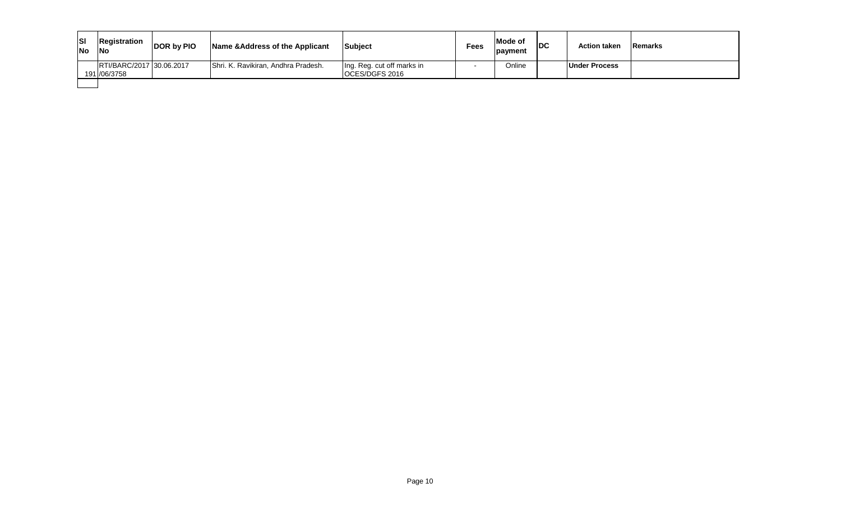| Isı<br><b>INo</b> | Registration<br><b>No</b>                | <b>DOR by PIO</b> | Name & Address of the Applicant     | Subject                                             | <b>Fees</b> | Mode of<br>payment | IDC | <b>Action taken</b>  | <b>Remarks</b> |
|-------------------|------------------------------------------|-------------------|-------------------------------------|-----------------------------------------------------|-------------|--------------------|-----|----------------------|----------------|
|                   | RTI/BARC/2017 30.06.2017<br>191 /06/3758 |                   | Shri. K. Ravikiran, Andhra Pradesh. | Ing. Reg. cut off marks in<br><b>OCES/DGFS 2016</b> |             | Online             |     | <b>Under Process</b> |                |
|                   |                                          |                   |                                     |                                                     |             |                    |     |                      |                |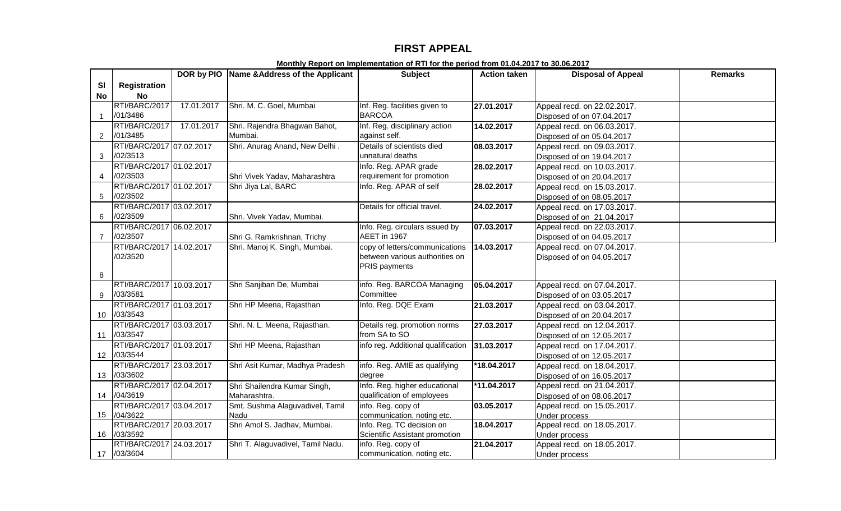# **FIRST APPEAL**

|                   |                          |            | DOR by PIO Name & Address of the Applicant | <b>Subject</b>                     | <b>Action taken</b> | <b>Disposal of Appeal</b>   | <b>Remarks</b> |
|-------------------|--------------------------|------------|--------------------------------------------|------------------------------------|---------------------|-----------------------------|----------------|
| <b>SI</b>         | <b>Registration</b>      |            |                                            |                                    |                     |                             |                |
| No                | <b>No</b>                |            |                                            |                                    |                     |                             |                |
|                   | RTI/BARC/2017            | 17.01.2017 | Shri. M. C. Goel, Mumbai                   | Inf. Reg. facilities given to      | 27.01.2017          | Appeal recd. on 22.02.2017. |                |
| $\mathbf 1$       | /01/3486                 |            |                                            | <b>BARCOA</b>                      |                     | Disposed of on 07.04.2017   |                |
|                   | RTI/BARC/2017            | 17.01.2017 | Shri. Rajendra Bhagwan Bahot,              | Inf. Reg. disciplinary action      | 14.02.2017          | Appeal recd. on 06.03.2017. |                |
| $\overline{2}$    | /01/3485                 |            | Mumbai.                                    | against self.                      |                     | Disposed of on 05.04.2017   |                |
|                   | RTI/BARC/2017 07.02.2017 |            | Shri. Anurag Anand, New Delhi.             | Details of scientists died         | 08.03.2017          | Appeal recd. on 09.03.2017. |                |
| 3                 | /02/3513                 |            |                                            | unnatural deaths                   |                     | Disposed of on 19.04.2017   |                |
|                   | RTI/BARC/2017 01.02.2017 |            |                                            | Info. Reg. APAR grade              | 28.02.2017          | Appeal recd. on 10.03.2017. |                |
| 4                 | /02/3503                 |            | Shri Vivek Yadav, Maharashtra              | requirement for promotion          |                     | Disposed of on 20.04.2017   |                |
|                   | RTI/BARC/2017 01.02.2017 |            | Shri Jiya Lal, BARC                        | Info. Reg. APAR of self            | 28.02.2017          | Appeal recd. on 15.03.2017. |                |
| 5                 | /02/3502                 |            |                                            |                                    |                     | Disposed of on 08.05.2017   |                |
|                   | RTI/BARC/2017 03.02.2017 |            |                                            | Details for official travel.       | 24.02.2017          | Appeal recd. on 17.03.2017. |                |
| 6                 | /02/3509                 |            | Shri. Vivek Yadav, Mumbai.                 |                                    |                     | Disposed of on 21.04.2017   |                |
|                   | RTI/BARC/2017 06.02.2017 |            |                                            | Info. Reg. circulars issued by     | 07.03.2017          | Appeal recd. on 22.03.2017. |                |
| $\overline{7}$    | /02/3507                 |            | Shri G. Ramkrishnan, Trichy                | AEET in 1967                       |                     | Disposed of on 04.05.2017   |                |
|                   | RTI/BARC/2017 14.02.2017 |            | Shri. Manoj K. Singh, Mumbai.              | copy of letters/communications     | 14.03.2017          | Appeal recd. on 07.04.2017. |                |
|                   | /02/3520                 |            |                                            | between various authorities on     |                     | Disposed of on 04.05.2017   |                |
|                   |                          |            |                                            | <b>PRIS payments</b>               |                     |                             |                |
| 8                 |                          |            |                                            |                                    |                     |                             |                |
|                   | RTI/BARC/2017 10.03.2017 |            | Shri Sanjiban De, Mumbai                   | info. Reg. BARCOA Managing         | 05.04.2017          | Appeal recd. on 07.04.2017. |                |
| 9                 | /03/3581                 |            |                                            | Committee                          |                     | Disposed of on 03.05.2017   |                |
|                   | RTI/BARC/2017 01.03.2017 |            | Shri HP Meena, Rajasthan                   | Info. Reg. DQE Exam                | 21.03.2017          | Appeal recd. on 03.04.2017. |                |
| 10 <sup>°</sup>   | /03/3543                 |            |                                            |                                    |                     | Disposed of on 20.04.2017   |                |
|                   | RTI/BARC/2017 03.03.2017 |            | Shri. N. L. Meena, Rajasthan.              | Details reg. promotion norms       | 27.03.2017          | Appeal recd. on 12.04.2017. |                |
| 11                | /03/3547                 |            |                                            | from SA to SO                      |                     | Disposed of on 12.05.2017   |                |
|                   | RTI/BARC/2017 01.03.2017 |            | Shri HP Meena, Rajasthan                   | info reg. Additional qualification | 31.03.2017          | Appeal recd. on 17.04.2017. |                |
| $12 \overline{ }$ | /03/3544                 |            |                                            |                                    |                     | Disposed of on 12.05.2017   |                |
|                   | RTI/BARC/2017 23.03.2017 |            | Shri Asit Kumar, Madhya Pradesh            | info. Reg. AMIE as qualifying      | *18.04.2017         | Appeal recd. on 18.04.2017. |                |
| 13                | /03/3602                 |            |                                            | degree                             |                     | Disposed of on 16.05.2017   |                |
|                   | RTI/BARC/2017 02.04.2017 |            | Shri Shailendra Kumar Singh,               | Info. Reg. higher educational      | $*11.04.2017$       | Appeal recd. on 21.04.2017. |                |
| 14                | /04/3619                 |            | Maharashtra.                               | qualification of employees         |                     | Disposed of on 08.06.2017   |                |
|                   | RTI/BARC/2017 03.04.2017 |            | Smt. Sushma Alaguvadivel, Tamil            | info. Reg. copy of                 | 03.05.2017          | Appeal recd. on 15.05.2017. |                |
| 15                | /04/3622                 |            | Nadu                                       | communication, noting etc.         |                     | Under process               |                |
|                   | RTI/BARC/2017 20.03.2017 |            | Shri Amol S. Jadhav, Mumbai.               | Info. Reg. TC decision on          | 18.04.2017          | Appeal recd. on 18.05.2017. |                |
| 16                | /03/3592                 |            |                                            | Scientific Assistant promotion     |                     | Under process               |                |
|                   | RTI/BARC/2017 24.03.2017 |            | Shri T. Alaguvadivel, Tamil Nadu.          | info. Reg. copy of                 | 21.04.2017          | Appeal recd. on 18.05.2017. |                |
|                   | 17 /03/3604              |            |                                            | communication, noting etc.         |                     | <b>Under process</b>        |                |

**Monthly Report on Implementation of RTI for the period from 01.04.2017 to 30.06.2017**